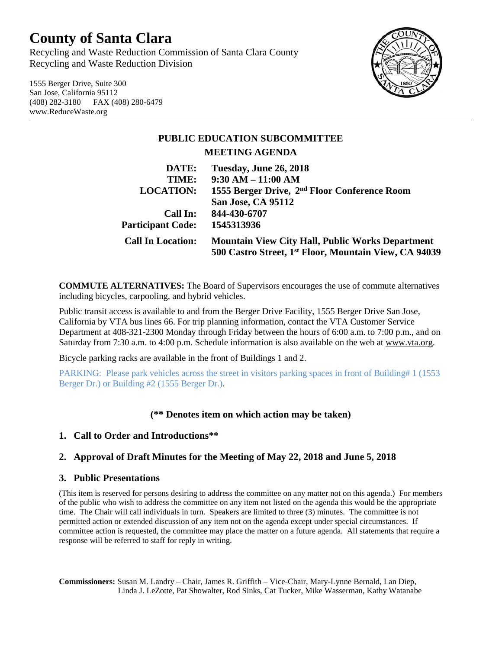# **County of Santa Clara**

Recycling and Waste Reduction Commission of Santa Clara County Recycling and Waste Reduction Division

1555 Berger Drive, Suite 300 San Jose, California 95112 (408) 282-3180 FAX (408) 280-6479 www.ReduceWaste.org



## **PUBLIC EDUCATION SUBCOMMITTEE MEETING AGENDA**

| DATE:                    | Tuesday, June 26, 2018                                            |
|--------------------------|-------------------------------------------------------------------|
| TIME:                    | $9:30 AM - 11:00 AM$                                              |
| <b>LOCATION:</b>         | 1555 Berger Drive, 2 <sup>nd</sup> Floor Conference Room          |
|                          | <b>San Jose, CA 95112</b>                                         |
| Call In:                 | 844-430-6707                                                      |
| <b>Participant Code:</b> | 1545313936                                                        |
| <b>Call In Location:</b> | <b>Mountain View City Hall, Public Works Department</b>           |
|                          | 500 Castro Street, 1 <sup>st</sup> Floor, Mountain View, CA 94039 |

**COMMUTE ALTERNATIVES:** The Board of Supervisors encourages the use of commute alternatives including bicycles, carpooling, and hybrid vehicles.

Public transit access is available to and from the Berger Drive Facility, 1555 Berger Drive San Jose, California by VTA bus lines 66. For trip planning information, contact the VTA Customer Service Department at 408-321-2300 Monday through Friday between the hours of 6:00 a.m. to 7:00 p.m., and on Saturday from 7:30 a.m. to 4:00 p.m. Schedule information is also available on the web at [www.vta.org.](http://www.vta.org/)

Bicycle parking racks are available in the front of Buildings 1 and 2.

PARKING: Please park vehicles across the street in visitors parking spaces in front of Building# 1 (1553 Berger Dr.) or Building #2 (1555 Berger Dr.).

### **(\*\* Denotes item on which action may be taken)**

### **1. Call to Order and Introductions\*\***

### **2. Approval of Draft Minutes for the Meeting of May 22, 2018 and June 5, 2018**

#### **3. Public Presentations**

(This item is reserved for persons desiring to address the committee on any matter not on this agenda.) For members of the public who wish to address the committee on any item not listed on the agenda this would be the appropriate time. The Chair will call individuals in turn. Speakers are limited to three (3) minutes. The committee is not permitted action or extended discussion of any item not on the agenda except under special circumstances. If committee action is requested, the committee may place the matter on a future agenda. All statements that require a response will be referred to staff for reply in writing.

**Commissioners:** Susan M. Landry – Chair, James R. Griffith – Vice-Chair, Mary-Lynne Bernald, Lan Diep, Linda J. LeZotte, Pat Showalter, Rod Sinks, Cat Tucker, Mike Wasserman, Kathy Watanabe